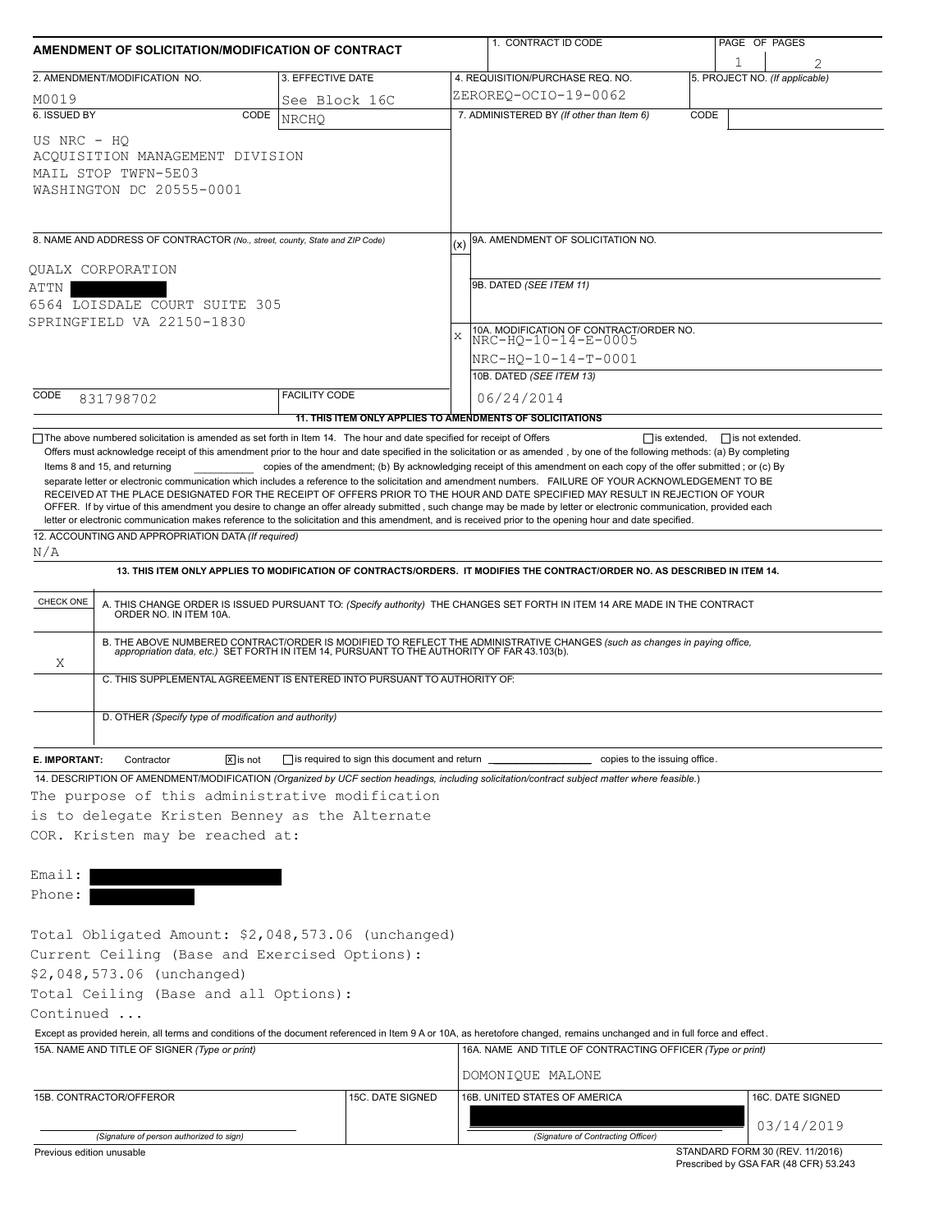| AMENDMENT OF SOLICITATION/MODIFICATION OF CONTRACT                                                                                                                                                                                       |                         |                                                                          |              | 1. CONTRACT ID CODE                                                                                                                                                                                                                                                                                                                                                       |      | PAGE OF PAGES                               |                                |
|------------------------------------------------------------------------------------------------------------------------------------------------------------------------------------------------------------------------------------------|-------------------------|--------------------------------------------------------------------------|--------------|---------------------------------------------------------------------------------------------------------------------------------------------------------------------------------------------------------------------------------------------------------------------------------------------------------------------------------------------------------------------------|------|---------------------------------------------|--------------------------------|
| 2. AMENDMENT/MODIFICATION NO.                                                                                                                                                                                                            |                         | 3. EFFECTIVE DATE                                                        |              | 4. REQUISITION/PURCHASE REQ. NO.                                                                                                                                                                                                                                                                                                                                          |      | 1                                           | 5. PROJECT NO. (If applicable) |
| M0019                                                                                                                                                                                                                                    |                         | See Block 16C                                                            |              | ZEROREQ-OCIO-19-0062                                                                                                                                                                                                                                                                                                                                                      |      |                                             |                                |
| 6. ISSUED BY                                                                                                                                                                                                                             | CODE                    | <b>NRCHO</b>                                                             |              | 7. ADMINISTERED BY (If other than Item 6)                                                                                                                                                                                                                                                                                                                                 | CODE |                                             |                                |
| US NRC - HO<br>ACQUISITION MANAGEMENT DIVISION<br>MAIL STOP TWFN-5E03<br>WASHINGTON DC 20555-0001                                                                                                                                        |                         |                                                                          |              |                                                                                                                                                                                                                                                                                                                                                                           |      |                                             |                                |
| 8. NAME AND ADDRESS OF CONTRACTOR (No., street, county, State and ZIP Code)                                                                                                                                                              |                         |                                                                          |              | 9A. AMENDMENT OF SOLICITATION NO.                                                                                                                                                                                                                                                                                                                                         |      |                                             |                                |
| QUALX CORPORATION                                                                                                                                                                                                                        |                         |                                                                          |              |                                                                                                                                                                                                                                                                                                                                                                           |      |                                             |                                |
| ATTN                                                                                                                                                                                                                                     |                         |                                                                          |              | 9B. DATED (SEE ITEM 11)                                                                                                                                                                                                                                                                                                                                                   |      |                                             |                                |
| 6564 LOISDALE COURT SUITE 305                                                                                                                                                                                                            |                         |                                                                          |              |                                                                                                                                                                                                                                                                                                                                                                           |      |                                             |                                |
| SPRINGFIELD VA 22150-1830                                                                                                                                                                                                                |                         |                                                                          | $\mathbf{x}$ | 10A. MODIFICATION OF CONTRACT/ORDER NO.                                                                                                                                                                                                                                                                                                                                   |      |                                             |                                |
|                                                                                                                                                                                                                                          |                         |                                                                          |              | NRC-HO-10-14-E-0005                                                                                                                                                                                                                                                                                                                                                       |      |                                             |                                |
|                                                                                                                                                                                                                                          |                         |                                                                          |              | NRC-HO-10-14-T-0001<br>10B. DATED (SEE ITEM 13)                                                                                                                                                                                                                                                                                                                           |      |                                             |                                |
| CODE                                                                                                                                                                                                                                     |                         | <b>FACILITY CODE</b>                                                     |              | 06/24/2014                                                                                                                                                                                                                                                                                                                                                                |      |                                             |                                |
| 831798702                                                                                                                                                                                                                                |                         |                                                                          |              | 11. THIS ITEM ONLY APPLIES TO AMENDMENTS OF SOLICITATIONS                                                                                                                                                                                                                                                                                                                 |      |                                             |                                |
| $\Box$ The above numbered solicitation is amended as set forth in Item 14. The hour and date specified for receipt of Offers                                                                                                             |                         |                                                                          |              |                                                                                                                                                                                                                                                                                                                                                                           |      | $\Box$ is extended, $\Box$ is not extended. |                                |
|                                                                                                                                                                                                                                          |                         |                                                                          |              |                                                                                                                                                                                                                                                                                                                                                                           |      |                                             |                                |
|                                                                                                                                                                                                                                          |                         |                                                                          |              | 13. THIS ITEM ONLY APPLIES TO MODIFICATION OF CONTRACTS/ORDERS. IT MODIFIES THE CONTRACT/ORDER NO. AS DESCRIBED IN ITEM 14.                                                                                                                                                                                                                                               |      |                                             |                                |
|                                                                                                                                                                                                                                          |                         |                                                                          |              | A. THIS CHANGE ORDER IS ISSUED PURSUANT TO: (Specify authority) THE CHANGES SET FORTH IN ITEM 14 ARE MADE IN THE CONTRACT ORDER NO. IN ITEM 10A.<br>B. THE ABOVE NUMBERED CONTRACT/ORDER IS MODIFIED TO REFLECT THE ADMINISTRATIVE CHANGES (such as changes in paying office, appropriation data, etc.) SET FORTH IN ITEM 14, PURSUANT TO THE AUTHORITY OF FAR 43.103(b). |      |                                             |                                |
| Χ                                                                                                                                                                                                                                        |                         | C. THIS SUPPLEMENTAL AGREEMENT IS ENTERED INTO PURSUANT TO AUTHORITY OF: |              |                                                                                                                                                                                                                                                                                                                                                                           |      |                                             |                                |
| N/A<br>CHECK ONE<br>D. OTHER (Specify type of modification and authority)                                                                                                                                                                |                         |                                                                          |              |                                                                                                                                                                                                                                                                                                                                                                           |      |                                             |                                |
| E. IMPORTANT:<br>Contractor                                                                                                                                                                                                              | $ \overline{x} $ is not | $\Box$ is required to sign this document and return                      |              | copies to the issuing office.                                                                                                                                                                                                                                                                                                                                             |      |                                             |                                |
|                                                                                                                                                                                                                                          |                         |                                                                          |              | 14. DESCRIPTION OF AMENDMENT/MODIFICATION (Organized by UCF section headings, including solicitation/contract subject matter where feasible.)                                                                                                                                                                                                                             |      |                                             |                                |
| The purpose of this administrative modification<br>is to delegate Kristen Benney as the Alternate<br>COR. Kristen may be reached at:                                                                                                     |                         |                                                                          |              |                                                                                                                                                                                                                                                                                                                                                                           |      |                                             |                                |
|                                                                                                                                                                                                                                          |                         |                                                                          |              |                                                                                                                                                                                                                                                                                                                                                                           |      |                                             |                                |
| Email:<br>Phone:                                                                                                                                                                                                                         |                         |                                                                          |              |                                                                                                                                                                                                                                                                                                                                                                           |      |                                             |                                |
|                                                                                                                                                                                                                                          |                         |                                                                          |              |                                                                                                                                                                                                                                                                                                                                                                           |      |                                             |                                |
|                                                                                                                                                                                                                                          |                         |                                                                          |              |                                                                                                                                                                                                                                                                                                                                                                           |      |                                             |                                |
|                                                                                                                                                                                                                                          |                         |                                                                          |              |                                                                                                                                                                                                                                                                                                                                                                           |      |                                             |                                |
|                                                                                                                                                                                                                                          |                         |                                                                          |              |                                                                                                                                                                                                                                                                                                                                                                           |      |                                             |                                |
|                                                                                                                                                                                                                                          |                         |                                                                          |              |                                                                                                                                                                                                                                                                                                                                                                           |      |                                             |                                |
|                                                                                                                                                                                                                                          |                         |                                                                          |              |                                                                                                                                                                                                                                                                                                                                                                           |      |                                             |                                |
|                                                                                                                                                                                                                                          |                         |                                                                          |              | Except as provided herein, all terms and conditions of the document referenced in Item 9 A or 10A, as heretofore changed, remains unchanged and in full force and effect.                                                                                                                                                                                                 |      |                                             |                                |
| Total Obligated Amount: \$2,048,573.06 (unchanged)<br>Current Ceiling (Base and Exercised Options):<br>\$2,048,573.06 (unchanged)<br>Total Ceiling (Base and all Options):<br>Continued<br>15A. NAME AND TITLE OF SIGNER (Type or print) |                         |                                                                          |              | 16A. NAME AND TITLE OF CONTRACTING OFFICER (Type or print)                                                                                                                                                                                                                                                                                                                |      |                                             |                                |
|                                                                                                                                                                                                                                          |                         |                                                                          |              | DOMONIQUE MALONE                                                                                                                                                                                                                                                                                                                                                          |      |                                             |                                |
| 15B. CONTRACTOR/OFFEROR                                                                                                                                                                                                                  |                         | 15C. DATE SIGNED                                                         |              | 16B. UNITED STATES OF AMERICA                                                                                                                                                                                                                                                                                                                                             |      |                                             | 16C. DATE SIGNED               |
|                                                                                                                                                                                                                                          |                         |                                                                          |              |                                                                                                                                                                                                                                                                                                                                                                           |      |                                             | 03/14/2019                     |

Prescribed by GSA FAR (48 CFR) 53.243